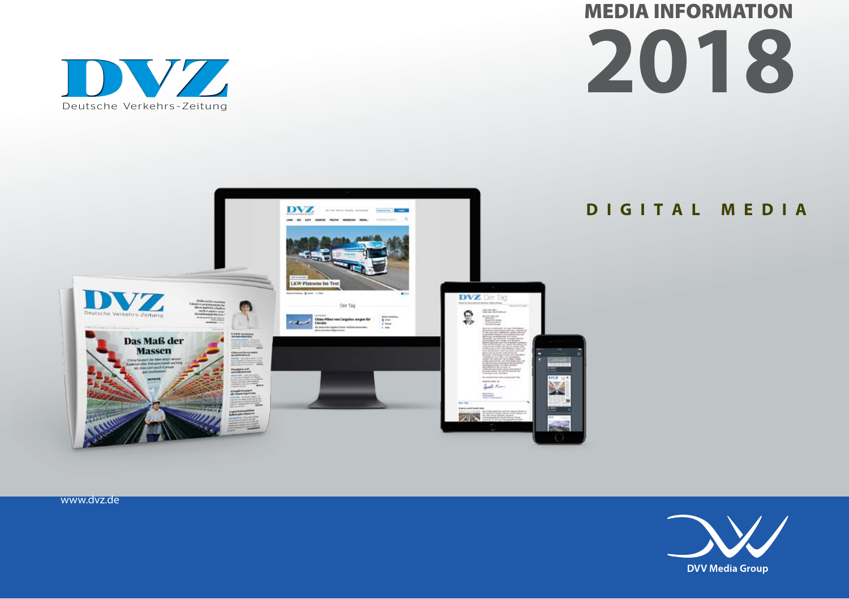



### **DIGITAL MEDIA**



www.dvz.de

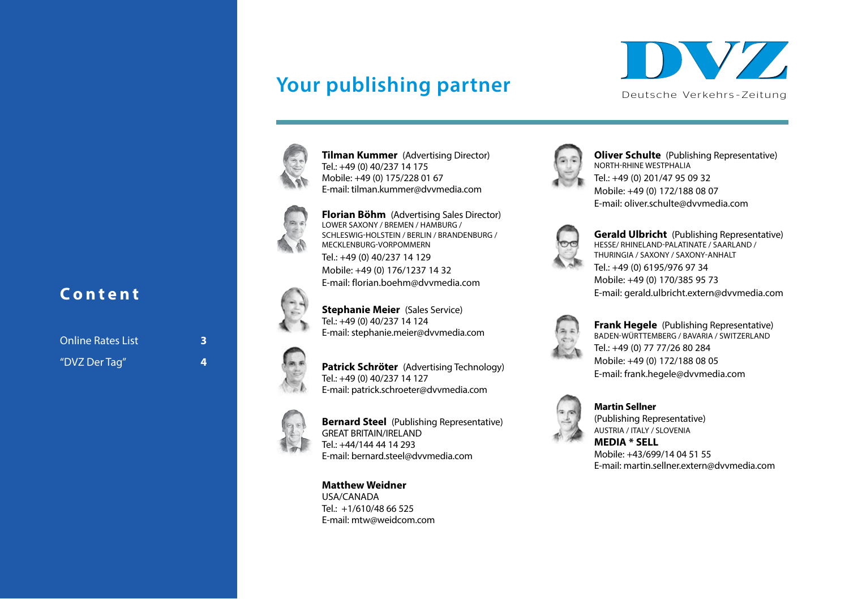## Your publishing partner





**Tilman Kummer** (Advertising Director) Tel.: +49 (0) 40/237 14 175 Mobile: +49 (0) 175/228 01 67 E-mail: tilman.kummer@dvvmedia.com



**Florian Böhm** (Advertising Sales Director) LOWER SAXONY / BREMEN / HAMBURG / SCHLESWIG-HOLSTEIN / BERLIN / BRANDENBURG / MECKLENBURG-VORPOMMERN Tel.: +49 (0) 40/237 14 129 Mobile: +49 (0) 176/1237 14 32 E-mail: florian.boehm@dvvmedia.com



**Patrick Schröter** (Advertising Technology) Tel.: +49 (0) 40/237 14 127 E-mail: patrick.schroeter@dvvmedia.com

E-mail: stephanie.meier@dvvmedia.com

**Stephanie Meier** (Sales Service) Tel.: +49 (0) 40/237 14 124



**Bernard Steel** (Publishing Representative) GREAT BRITAIN/IRELAND Tel.: +44/144 44 14 293 E-mail: bernard.steel@dvvmedia.com

**Matthew Weidner** USA/CANADA  $Tel: +1/610/48 66 525$ E-mail: mtw@weidcom.com



**Oliver Schulte** (Publishing Representative) NORTH-RHINE WESTPHALIA Tel.: +49 (0) 201/47 95 09 32 Mobile: +49 (0) 172/188 08 07 E-mail: oliver.schulte@dvvmedia.com



**Gerald Ulbricht** (Publishing Representative) HESSE/ RHINELAND-PALATINATE / SAARLAND / THURINGIA / SAXONY / SAXONY-ANHALT Tel.: +49 (0) 6195/976 97 34 Mobile: +49 (0) 170/385 95 73 E-mail: gerald.ulbricht.extern@dvvmedia.com



**Frank Hegele** (Publishing Representative) BADEN-WÜRTTEMBERG / BAVARIA / SWITZERLAND Tel.: +49 (0) 77 77/26 80 284 Mobile: +49 (0) 172/188 08 05 E-mail: frank.hegele@dvvmedia.com



**Martin Sellner** (Publishing Representative) AUSTRIA / ITALY / SLOVENIA **MEDIA \* SELL**

Mobile: +43/699/14 04 51 55 E-mail: martin.sellner.extern@dvvmedia.com

### **Content <sup>10</sup>**

Online Rates List **13** "DVZ Der Tag" **14**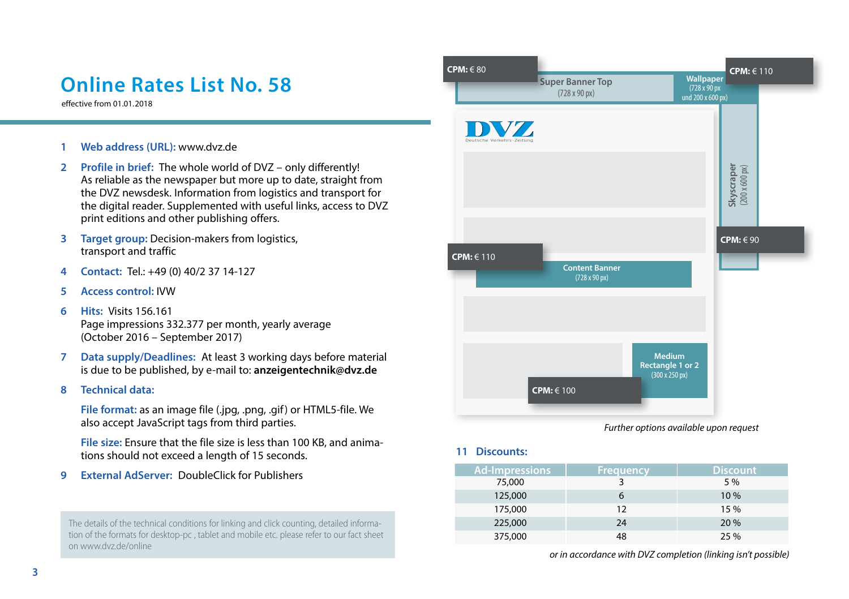## **Online Rates List No. 58**

effective from 01.01.2018

- **1 Web address (URL):** www.dvz.de
- **2 Profile in brief:** The whole world of DVZ only differently! As reliable as the newspaper but more up to date, straight from the DVZ newsdesk. Information from logistics and transport for the digital reader. Supplemented with useful links, access to DVZ print editions and other publishing offers.
- **3 Target group:** Decision-makers from logistics, transport and traffic
- **4 Contact:** Tel.: +49 (0) 40/2 37 14-127
- **5 Access control:** IVW
- **6 Hits:** Visits 156.161 Page impressions 332.377 per month, yearly average (October 2016 – September 2017)
- **7 Data supply/Deadlines:** At least 3 working days before material is due to be published, by e-mail to: **anzeigentechnik@dvz.de**
- **8 Technical data:**

**File format:** as an image file (.jpg, .png, .gif) or HTML5-file. We also accept JavaScript tags from third parties.

**File size:** Ensure that the file size is less than 100 KB, and animations should not exceed a length of 15 seconds.

**9 External AdServer:** DoubleClick for Publishers

The details of the technical conditions for linking and click counting, detailed information of the formats for desktop-pc , tablet and mobile etc. please refer to our fact sheet on www.dvz.de/online



*Further options available upon request*

**11 Discounts:**

| <b>Ad-Impressions</b> | Frequency | <b>Discount</b> |
|-----------------------|-----------|-----------------|
| 75,000                |           | 5 %             |
| 125,000               |           | 10%             |
| 175,000               | 12        | 15 %            |
| 225,000               | 24        | 20 %            |
| 375,000               | 48        | 25 %            |

*or in accordance with DVZ completion (linking isn't possible)*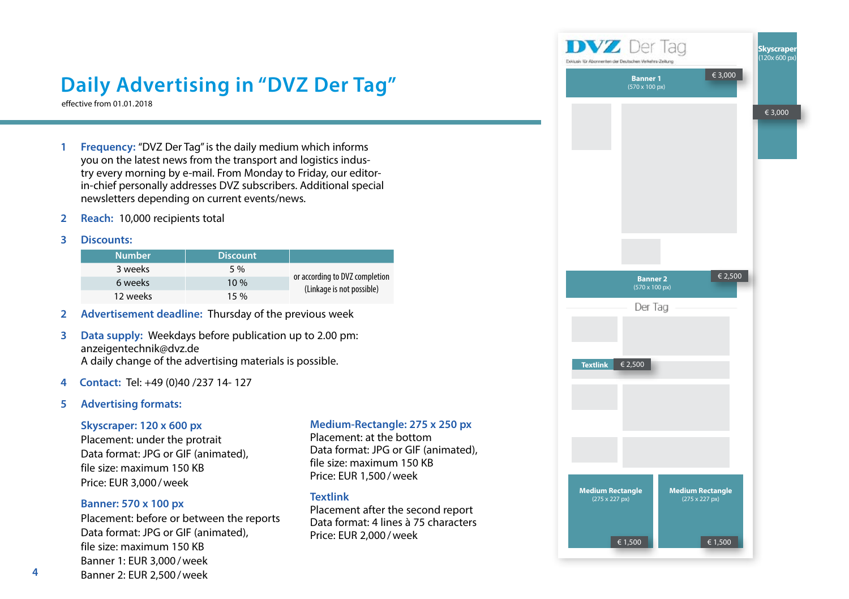# **Daily Advertising in "DVZ Der Tag"**

effective from 01.01.2018

- **1 Frequency:** "DVZ Der Tag" is the daily medium which informs you on the latest news from the transport and logistics industry every morning by e-mail. From Monday to Friday, our editorin-chief personally addresses DVZ subscribers. Additional special newsletters depending on current events/news.
- **2 Reach:** 10,000 recipients total
- **3 Discounts:**

| <b>Number</b> | <b>Discount</b> |                                                             |
|---------------|-----------------|-------------------------------------------------------------|
| 3 weeks       | 5 %             | or according to DVZ completion<br>(Linkage is not possible) |
| 6 weeks       | 10%             |                                                             |
| 12 weeks      | 15%             |                                                             |

- **2 Advertisement deadline:** Thursday of the previous week
- **3 Data supply:** Weekdays before publication up to 2.00 pm: anzeigentechnik@dvz.de A daily change of the advertising materials is possible.
- **4 Contact:** Tel: +49 (0)40 /237 14- 127
- **5 Advertising formats:**

### **Skyscraper: 120 x 600 px**

Placement: under the protrait Data format: JPG or GIF (animated), file size: maximum 150 KB Price: EUR 3,000/week

### **Banner: 570 x 100 px**

Placement: before or between the reports Data format: JPG or GIF (animated), file size: maximum 150 KB Banner 1: EUR 3,000/week Banner 2: EUR 2,500/week

### **Medium-Rectangle: 275 x 250 px**

Placement: at the bottom Data format: JPG or GIF (animated), file size: maximum 150 KB Price: EUR 1,500/week

### **Textlink**

Placement after the second report Data format: 4 lines à 75 characters Price: EUR 2,000/week